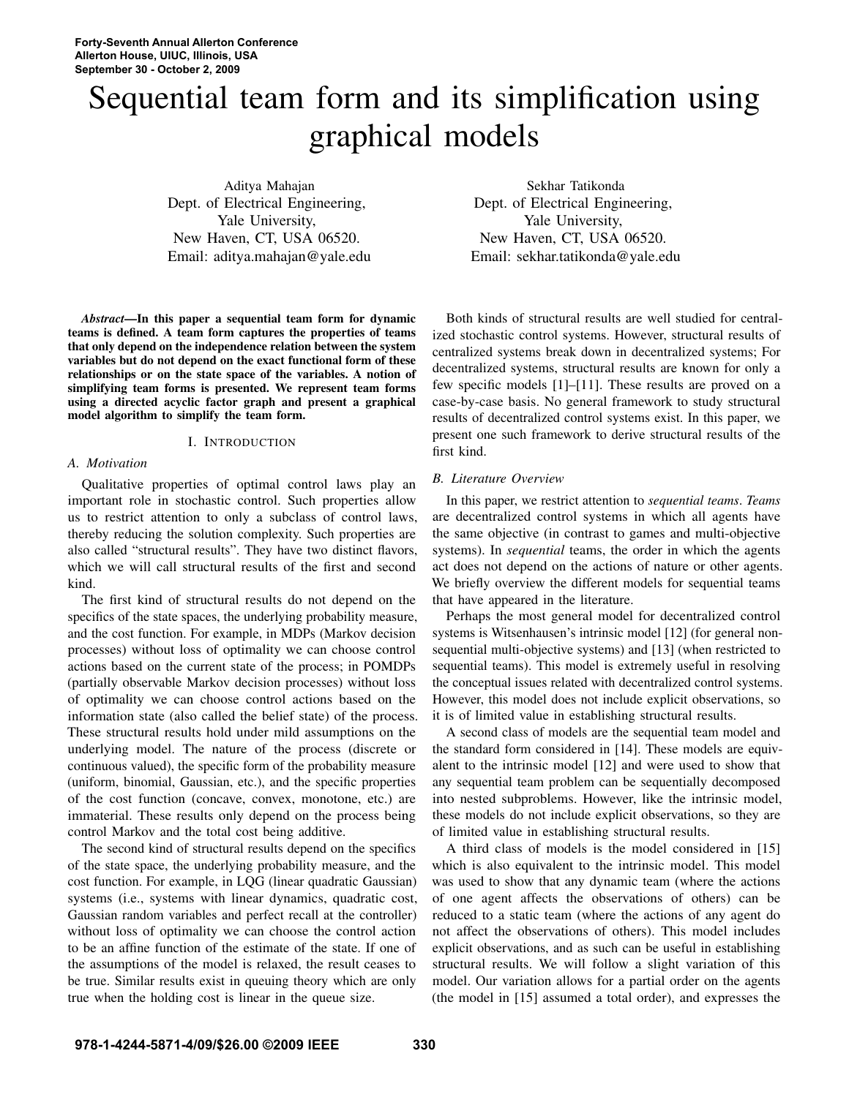# Sequential team form and its simplification using graphical models

Aditya Mahajan Dept. of Electrical Engineering, Yale University, New Haven, CT, USA 06520. Email: aditya.mahajan@yale.edu

*Abstract*—In this paper a sequential team form for dynamic teams is defined. A team form captures the properties of teams that only depend on the independence relation between the system variables but do not depend on the exact functional form of these relationships or on the state space of the variables. A notion of simplifying team forms is presented. We represent team forms using a directed acyclic factor graph and present a graphical model algorithm to simplify the team form.

# I. INTRODUCTION

#### *A. Motivation*

Qualitative properties of optimal control laws play an important role in stochastic control. Such properties allow us to restrict attention to only a subclass of control laws, thereby reducing the solution complexity. Such properties are also called "structural results". They have two distinct flavors, which we will call structural results of the first and second kind.

The first kind of structural results do not depend on the specifics of the state spaces, the underlying probability measure, and the cost function. For example, in MDPs (Markov decision processes) without loss of optimality we can choose control actions based on the current state of the process; in POMDPs (partially observable Markov decision processes) without loss of optimality we can choose control actions based on the information state (also called the belief state) of the process. These structural results hold under mild assumptions on the underlying model. The nature of the process (discrete or continuous valued), the specific form of the probability measure (uniform, binomial, Gaussian, etc.), and the specific properties of the cost function (concave, convex, monotone, etc.) are immaterial. These results only depend on the process being control Markov and the total cost being additive.

The second kind of structural results depend on the specifics of the state space, the underlying probability measure, and the cost function. For example, in LQG (linear quadratic Gaussian) systems (i.e., systems with linear dynamics, quadratic cost, Gaussian random variables and perfect recall at the controller) without loss of optimality we can choose the control action to be an affine function of the estimate of the state. If one of the assumptions of the model is relaxed, the result ceases to be true. Similar results exist in queuing theory which are only true when the holding cost is linear in the queue size.

Sekhar Tatikonda Dept. of Electrical Engineering, Yale University, New Haven, CT, USA 06520. Email: sekhar.tatikonda@yale.edu

Both kinds of structural results are well studied for centralized stochastic control systems. However, structural results of centralized systems break down in decentralized systems; For decentralized systems, structural results are known for only a few specific models [1]–[11]. These results are proved on a case-by-case basis. No general framework to study structural results of decentralized control systems exist. In this paper, we present one such framework to derive structural results of the first kind.

# *B. Literature Overview*

In this paper, we restrict attention to *sequential teams*. *Teams* are decentralized control systems in which all agents have the same objective (in contrast to games and multi-objective systems). In *sequential* teams, the order in which the agents act does not depend on the actions of nature or other agents. We briefly overview the different models for sequential teams that have appeared in the literature.

Perhaps the most general model for decentralized control systems is Witsenhausen's intrinsic model [12] (for general nonsequential multi-objective systems) and [13] (when restricted to sequential teams). This model is extremely useful in resolving the conceptual issues related with decentralized control systems. However, this model does not include explicit observations, so it is of limited value in establishing structural results.

A second class of models are the sequential team model and the standard form considered in [14]. These models are equivalent to the intrinsic model [12] and were used to show that any sequential team problem can be sequentially decomposed into nested subproblems. However, like the intrinsic model, these models do not include explicit observations, so they are of limited value in establishing structural results.

A third class of models is the model considered in [15] which is also equivalent to the intrinsic model. This model was used to show that any dynamic team (where the actions of one agent affects the observations of others) can be reduced to a static team (where the actions of any agent do not affect the observations of others). This model includes explicit observations, and as such can be useful in establishing structural results. We will follow a slight variation of this model. Our variation allows for a partial order on the agents (the model in [15] assumed a total order), and expresses the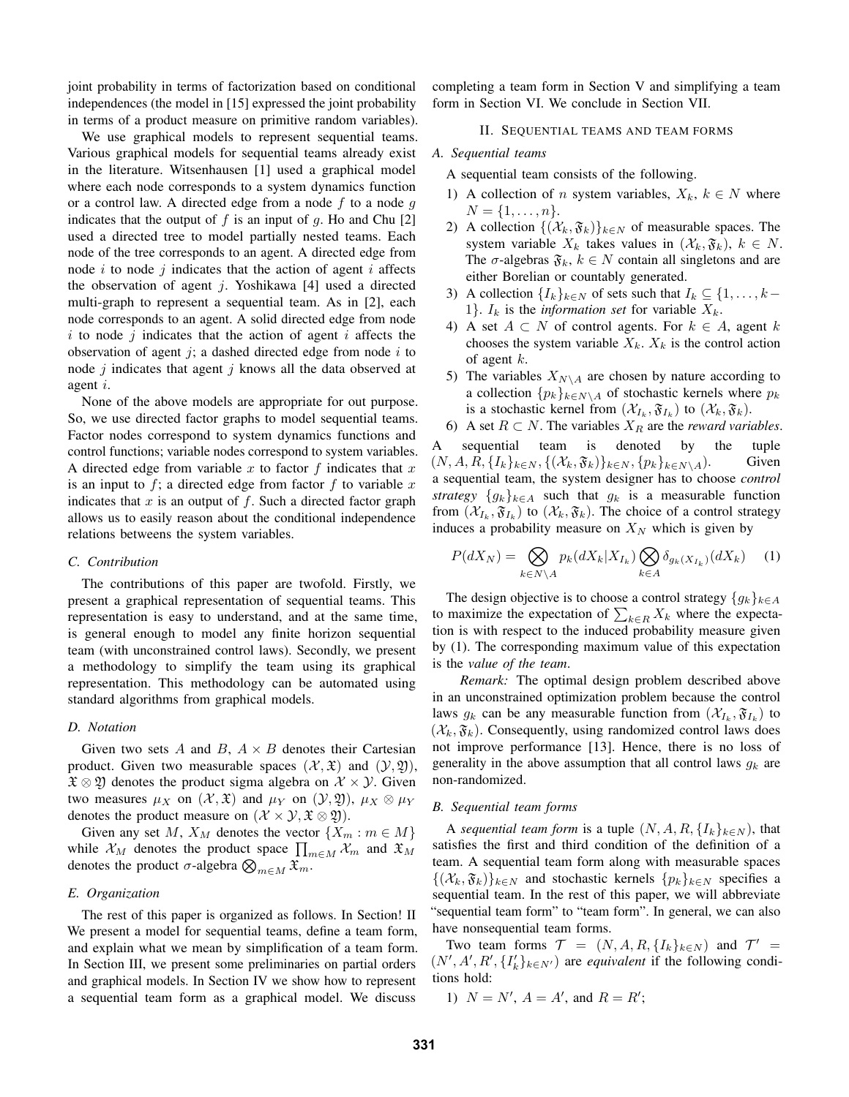joint probability in terms of factorization based on conditional independences (the model in [15] expressed the joint probability in terms of a product measure on primitive random variables).

We use graphical models to represent sequential teams. Various graphical models for sequential teams already exist in the literature. Witsenhausen [1] used a graphical model where each node corresponds to a system dynamics function or a control law. A directed edge from a node f to a node  $q$ indicates that the output of f is an input of q. Ho and Chu  $[2]$ used a directed tree to model partially nested teams. Each node of the tree corresponds to an agent. A directed edge from node  $i$  to node  $j$  indicates that the action of agent  $i$  affects the observation of agent  $j$ . Yoshikawa [4] used a directed multi-graph to represent a sequential team. As in [2], each node corresponds to an agent. A solid directed edge from node  $i$  to node  $j$  indicates that the action of agent  $i$  affects the observation of agent  $i$ ; a dashed directed edge from node  $i$  to node  $j$  indicates that agent  $j$  knows all the data observed at agent i.

None of the above models are appropriate for out purpose. So, we use directed factor graphs to model sequential teams. Factor nodes correspond to system dynamics functions and control functions; variable nodes correspond to system variables. A directed edge from variable x to factor f indicates that x is an input to  $f$ ; a directed edge from factor  $f$  to variable x indicates that  $x$  is an output of  $f$ . Such a directed factor graph allows us to easily reason about the conditional independence relations betweens the system variables.

#### *C. Contribution*

The contributions of this paper are twofold. Firstly, we present a graphical representation of sequential teams. This representation is easy to understand, and at the same time, is general enough to model any finite horizon sequential team (with unconstrained control laws). Secondly, we present a methodology to simplify the team using its graphical representation. This methodology can be automated using standard algorithms from graphical models.

# *D. Notation*

Given two sets A and B,  $A \times B$  denotes their Cartesian product. Given two measurable spaces  $(\mathcal{X}, \mathfrak{X})$  and  $(\mathcal{Y}, \mathfrak{Y})$ ,  $\mathfrak{X} \otimes \mathfrak{Y}$  denotes the product sigma algebra on  $\mathcal{X} \times \mathcal{Y}$ . Given two measures  $\mu_X$  on  $(\mathcal{X}, \mathfrak{X})$  and  $\mu_Y$  on  $(\mathcal{Y}, \mathfrak{Y})$ ,  $\mu_X \otimes \mu_Y$ denotes the product measure on  $(\mathcal{X} \times \mathcal{Y}, \mathfrak{X} \otimes \mathfrak{Y})$ .

Given any set M,  $X_M$  denotes the vector  $\{X_m : m \in M\}$ while  $\mathcal{X}_M$  denotes the product space  $\prod_{m\in M}\mathcal{X}_m$  and  $\mathfrak{X}_M$ denotes the product  $\sigma$ -algebra  $\bigotimes_{m \in M} \mathfrak{X}_m$ .

# *E. Organization*

The rest of this paper is organized as follows. In Section! II We present a model for sequential teams, define a team form, and explain what we mean by simplification of a team form. In Section III, we present some preliminaries on partial orders and graphical models. In Section IV we show how to represent a sequential team form as a graphical model. We discuss

completing a team form in Section V and simplifying a team form in Section VI. We conclude in Section VII.

#### II. SEQUENTIAL TEAMS AND TEAM FORMS

#### *A. Sequential teams*

A sequential team consists of the following.

- 1) A collection of n system variables,  $X_k$ ,  $k \in N$  where  $N = \{1, \ldots, n\}.$
- 2) A collection  $\{(\mathcal{X}_k, \mathfrak{F}_k)\}_{k \in \mathbb{N}}$  of measurable spaces. The system variable  $X_k$  takes values in  $(\mathcal{X}_k, \mathfrak{F}_k)$ ,  $k \in \mathbb{N}$ . The  $\sigma$ -algebras  $\mathfrak{F}_k$ ,  $k \in \mathbb{N}$  contain all singletons and are either Borelian or countably generated.
- 3) A collection  $\{I_k\}_{k\in\mathbb{N}}$  of sets such that  $I_k \subseteq \{1,\ldots,k-\}$ 1}.  $I_k$  is the *information set* for variable  $X_k$ .
- 4) A set  $A \subset N$  of control agents. For  $k \in A$ , agent k chooses the system variable  $X_k$ .  $X_k$  is the control action of agent  $k$ .
- 5) The variables  $X_{N\setminus A}$  are chosen by nature according to a collection  $\{p_k\}_{k \in N \setminus A}$  of stochastic kernels where  $p_k$ is a stochastic kernel from  $(\mathcal{X}_{I_k}, \mathfrak{F}_{I_k})$  to  $(\mathcal{X}_k, \mathfrak{F}_k)$ .
- 6) A set  $R \subset N$ . The variables  $X_R$  are the *reward variables*.

A sequential team is denoted by the tuple  $(N, A, R, \{I_k\}_{k \in N}, \{(\mathcal{X}_k, \mathfrak{F}_k)\}_{k \in N}, \{p_k\}_{k \in N\setminus A}).$  Given a sequential team, the system designer has to choose *control strategy*  $\{g_k\}_{k\in A}$  such that  $g_k$  is a measurable function from  $(\mathcal{X}_{I_k}, \mathfrak{F}_{I_k})$  to  $(\mathcal{X}_k, \mathfrak{F}_k)$ . The choice of a control strategy induces a probability measure on  $X_N$  which is given by

$$
P(dX_N) = \bigotimes_{k \in N \backslash A} p_k(dX_k|X_{I_k}) \bigotimes_{k \in A} \delta_{g_k(X_{I_k})}(dX_k) \tag{1}
$$

The design objective is to choose a control strategy  ${g_k}_{k \in A}$ to maximize the expectation of  $\sum_{k \in R} X_k$  where the expectation is with respect to the induced probability measure given by (1). The corresponding maximum value of this expectation is the *value of the team*.

*Remark:* The optimal design problem described above in an unconstrained optimization problem because the control laws  $g_k$  can be any measurable function from  $(\mathcal{X}_{I_k}, \mathfrak{F}_{I_k})$  to  $(\mathcal{X}_k, \mathfrak{F}_k)$ . Consequently, using randomized control laws does not improve performance [13]. Hence, there is no loss of generality in the above assumption that all control laws  $q_k$  are non-randomized.

# *B. Sequential team forms*

A *sequential team form* is a tuple  $(N, A, R, \{I_k\}_{k\in N})$ , that satisfies the first and third condition of the definition of a team. A sequential team form along with measurable spaces  $\{(\mathcal{X}_k, \mathfrak{F}_k)\}_{k\in\mathbb{N}}$  and stochastic kernels  $\{p_k\}_{k\in\mathbb{N}}$  specifies a sequential team. In the rest of this paper, we will abbreviate "sequential team form" to "team form". In general, we can also have nonsequential team forms.

Two team forms  $\mathcal{T} = (N, A, R, \{I_k\}_{k \in N})$  and  $\mathcal{T}' =$  $(N', A', R', \{I'_k\}_{k \in N'})$  are *equivalent* if the following conditions hold:

1)  $N = N'$ ,  $A = A'$ , and  $R = R'$ ;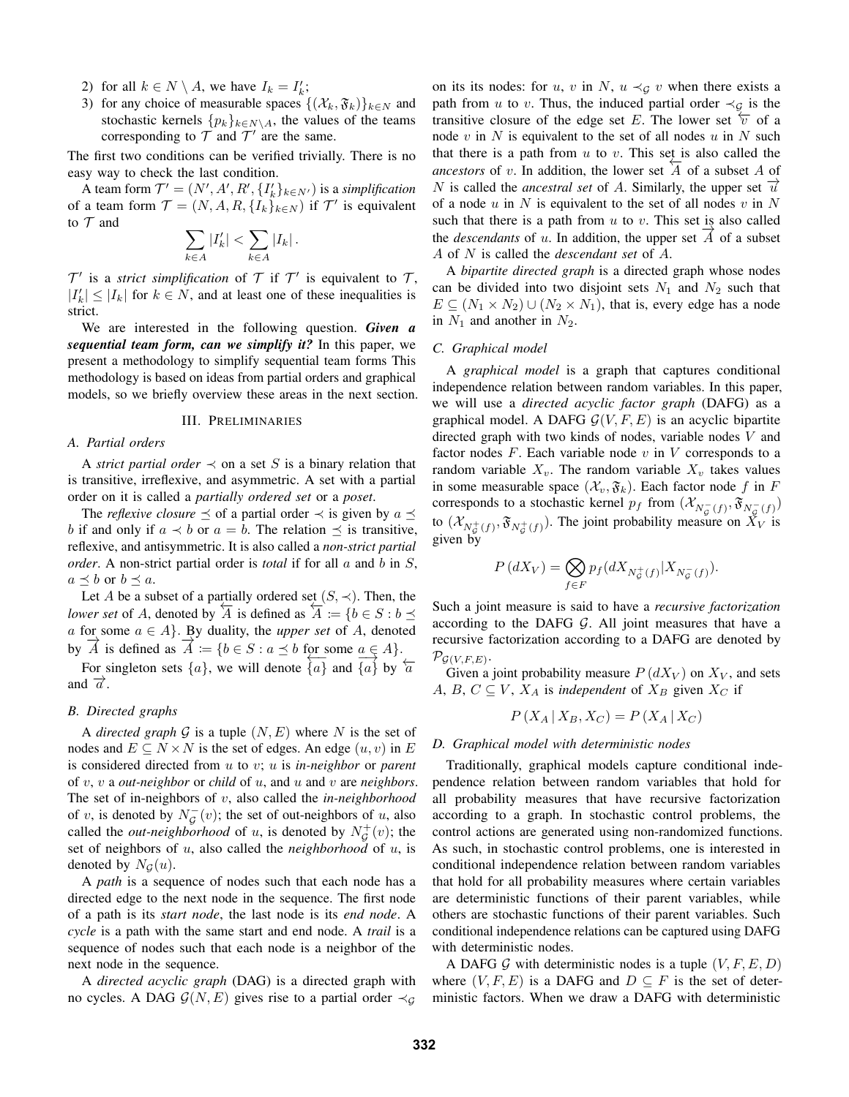- 2) for all  $k \in N \setminus A$ , we have  $I_k = I'_k$ ;
- 3) for any choice of measurable spaces  $\{(\mathcal{X}_k, \mathfrak{F}_k)\}_{k \in \mathbb{N}}$  and stochastic kernels  $\{p_k\}_{k \in N \setminus A}$ , the values of the teams corresponding to  $T$  and  $T'$  are the same.

The first two conditions can be verified trivially. There is no easy way to check the last condition.

A team form  $\mathcal{T}' = (N', A', R', \{I'_k\}_{k \in N'})$  is a *simplification* of a team form  $\mathcal{T} = (N, A, R, \{I_k\}_{k \in N})$  if  $\mathcal{T}'$  is equivalent to  $T$  and

$$
\sum_{k\in A}|I_k'| < \sum_{k\in A}|I_k| \, .
$$

 $\mathcal{T}'$  is a *strict simplification* of  $\mathcal{T}$  if  $\mathcal{T}'$  is equivalent to  $\mathcal{T}$ ,  $|I'_k| \leq |I_k|$  for  $k \in N$ , and at least one of these inequalities is strict.

We are interested in the following question. *Given a sequential team form, can we simplify it?* In this paper, we present a methodology to simplify sequential team forms This methodology is based on ideas from partial orders and graphical models, so we briefly overview these areas in the next section.

#### III. PRELIMINARIES

# *A. Partial orders*

A *strict partial order*  $\prec$  on a set S is a binary relation that is transitive, irreflexive, and asymmetric. A set with a partial order on it is called a *partially ordered set* or a *poset*.

The *reflexive closure*  $\preceq$  of a partial order  $\prec$  is given by  $a \preceq$ b if and only if  $a \prec b$  or  $a = b$ . The relation  $\preceq$  is transitive, reflexive, and antisymmetric. It is also called a *non-strict partial order*. A non-strict partial order is *total* if for all a and b in S,  $a \preceq b$  or  $b \preceq a$ .

Let A be a subset of a partially ordered set  $(S, \prec)$ . Then, the *lower set* of A, denoted by  $\overline{A}$  is defined as  $\overline{A} := \{b \in S : b \leq b\}$ a for some  $a \in A$ . By duality, the *upper set* of A, denoted by  $\overrightarrow{A}$  is defined as  $\overrightarrow{A} := \{b \in S : a \leq b \text{ for some } a \in A\}.$ 

For singleton sets  $\{a\}$ , we will denote  $\{a\}$  and  $\{a\}$  by  $\overleftarrow{a}$ and  $\overrightarrow{a}$ .

#### *B. Directed graphs*

A *directed graph*  $G$  is a tuple  $(N, E)$  where N is the set of nodes and  $E \subseteq N \times N$  is the set of edges. An edge  $(u, v)$  in E is considered directed from u to v; u is *in-neighbor* or *parent* of v, v a *out-neighbor* or *child* of u, and u and v are *neighbors*. The set of in-neighbors of v, also called the *in-neighborhood* of v, is denoted by  $N_{\mathcal{G}}^-(v)$ ; the set of out-neighbors of u, also called the *out-neighborhood* of u, is denoted by  $N^+_{\mathcal{G}}(v)$ ; the set of neighbors of u, also called the *neighborhood* of u, is denoted by  $N_G(u)$ .

A *path* is a sequence of nodes such that each node has a directed edge to the next node in the sequence. The first node of a path is its *start node*, the last node is its *end node*. A *cycle* is a path with the same start and end node. A *trail* is a sequence of nodes such that each node is a neighbor of the next node in the sequence.

A *directed acyclic graph* (DAG) is a directed graph with no cycles. A DAG  $\mathcal{G}(N, E)$  gives rise to a partial order  $\prec_{\mathcal{G}}$ 

on its its nodes: for u, v in N,  $u \prec_G v$  when there exists a path from u to v. Thus, the induced partial order  $\prec_{\mathcal{G}}$  is the transitive closure of the edge set E. The lower set  $\overline{v}$  of a node  $v$  in  $N$  is equivalent to the set of all nodes  $u$  in  $N$  such that there is a path from  $u$  to  $v$ . This set is also called the *ancestors* of v. In addition, the lower set  $\overline{A}$  of a subset A of N is called the *ancestral set* of A. Similarly, the upper set  $\vec{u}$ of a node  $u$  in  $N$  is equivalent to the set of all nodes  $v$  in  $N$ such that there is a path from  $u$  to  $v$ . This set is also called the *descendants* of u. In addition, the upper set  $\overrightarrow{A}$  of a subset A of N is called the *descendant set* of A.

A *bipartite directed graph* is a directed graph whose nodes can be divided into two disjoint sets  $N_1$  and  $N_2$  such that  $E \subseteq (N_1 \times N_2) \cup (N_2 \times N_1)$ , that is, every edge has a node in  $N_1$  and another in  $N_2$ .

# *C. Graphical model*

A *graphical model* is a graph that captures conditional independence relation between random variables. In this paper, we will use a *directed acyclic factor graph* (DAFG) as a graphical model. A DAFG  $G(V, F, E)$  is an acyclic bipartite directed graph with two kinds of nodes, variable nodes V and factor nodes  $F$ . Each variable node  $v$  in  $V$  corresponds to a random variable  $X_v$ . The random variable  $X_v$  takes values in some measurable space  $(\mathcal{X}_v, \mathfrak{F}_k)$ . Each factor node f in F corresponds to a stochastic kernel  $p_f$  from  $(\mathcal{X}_{N_g^{-}(f)}, \mathfrak{F}_{N_g^{-}(f)})$ to  $(\mathcal{X}_{N_{\mathcal{G}}^+(f)}, \mathfrak{F}_{N_{\mathcal{G}}^+(f)})$ . The joint probability measure on  $\check{X}_V$  is given by

$$
P(dX_V) = \bigotimes_{f \in F} p_f(dX_{N^+_g(f)} | X_{N^-_g(f)}).
$$

Such a joint measure is said to have a *recursive factorization* according to the DAFG  $G$ . All joint measures that have a recursive factorization according to a DAFG are denoted by  $\mathcal{P}_{\mathcal{G}(V, F, E)}$ .

Given a joint probability measure  $P(dX_V)$  on  $X_V$ , and sets A, B,  $C \subseteq V$ ,  $X_A$  is *independent* of  $X_B$  given  $X_C$  if

$$
P\left(X_A \,|\, X_B, X_C\right) = P\left(X_A \,|\, X_C\right)
$$

#### *D. Graphical model with deterministic nodes*

Traditionally, graphical models capture conditional independence relation between random variables that hold for all probability measures that have recursive factorization according to a graph. In stochastic control problems, the control actions are generated using non-randomized functions. As such, in stochastic control problems, one is interested in conditional independence relation between random variables that hold for all probability measures where certain variables are deterministic functions of their parent variables, while others are stochastic functions of their parent variables. Such conditional independence relations can be captured using DAFG with deterministic nodes.

A DAFG G with deterministic nodes is a tuple  $(V, F, E, D)$ where  $(V, F, E)$  is a DAFG and  $D \subseteq F$  is the set of deterministic factors. When we draw a DAFG with deterministic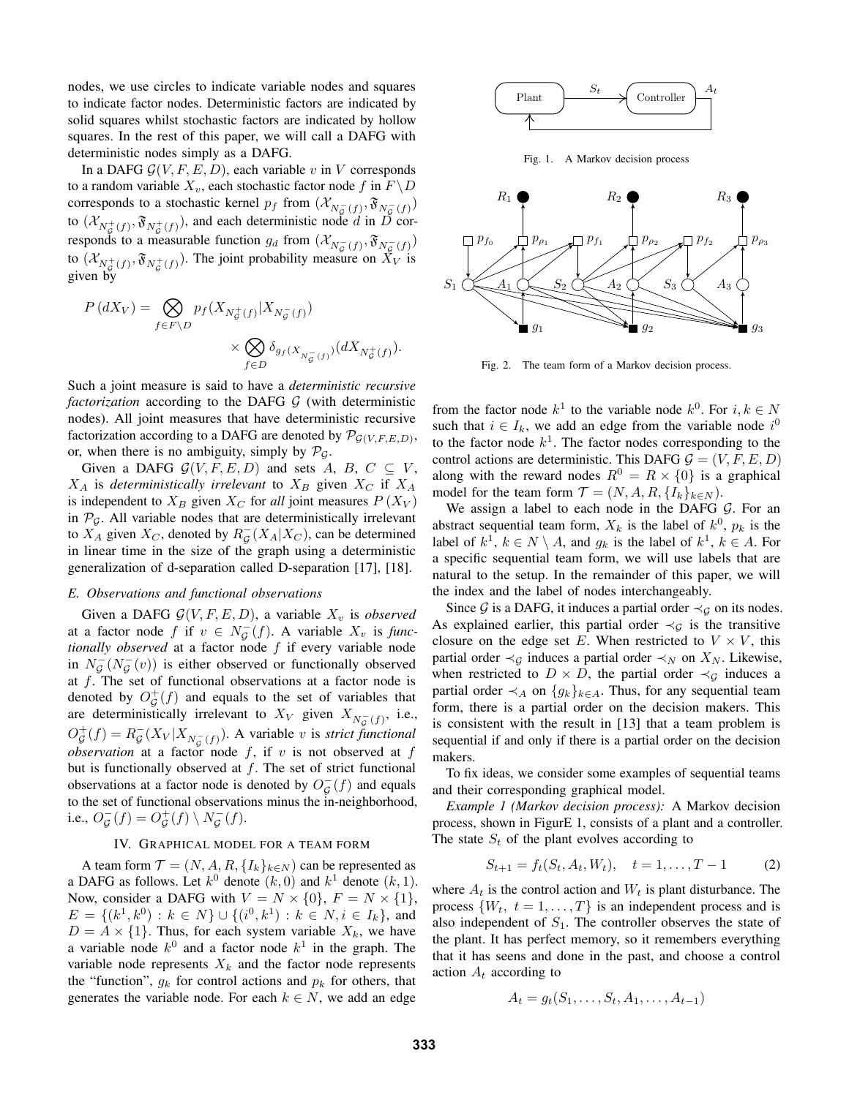nodes, we use circles to indicate variable nodes and squares to indicate factor nodes. Deterministic factors are indicated by solid squares whilst stochastic factors are indicated by hollow squares. In the rest of this paper, we will call a DAFG with deterministic nodes simply as a DAFG.

In a DAFG  $G(V, F, E, D)$ , each variable v in V corresponds to a random variable  $X_v$ , each stochastic factor node f in  $F \backslash D$ corresponds to a stochastic kernel  $p_f$  from  $(\mathcal{X}_{N_g^{-}(f)}, \mathfrak{F}_{N_g^{-}(f)})$ to  $(\mathcal{X}_{N_c^+(f)}, \mathfrak{F}_{N_c^+(f)})$ , and each deterministic node d in D corresponds to a measurable function  $g_d$  from  $(\mathcal{X}_{N_g^{-}(f)}, \mathfrak{F}_{N_g^{-}(f)})$ to  $(\mathcal{X}_{N_{\mathcal{G}}^+(f)}, \mathfrak{F}_{N_{\mathcal{G}}^+(f)})$ . The joint probability measure on  $\bar{X}_V$  is given by

$$
\begin{split} P\left(dX_V\right) = \bigotimes_{f \in F \backslash D} p_f(X_{N^+_g(f)} | X_{N^-_g(f)}) \\ \times \bigotimes_{f \in D} \delta_{g_f(X_{N^-_g(f)})} (dX_{N^+_g(f)}). \end{split}
$$

Such a joint measure is said to have a *deterministic recursive factorization* according to the DAFG G (with deterministic nodes). All joint measures that have deterministic recursive factorization according to a DAFG are denoted by  $\mathcal{P}_{\mathcal{G}(V,F,E,D)}$ , or, when there is no ambiguity, simply by  $\mathcal{P}_{G}$ .

Given a DAFG  $G(V, F, E, D)$  and sets A, B,  $C \subseteq V$ ,  $X_A$  is *deterministically irrelevant* to  $X_B$  given  $X_C$  if  $X_A$ is independent to  $X_B$  given  $X_C$  for *all* joint measures  $P(X_V)$ in  $\mathcal{P}_{\mathcal{G}}$ . All variable nodes that are deterministically irrelevant to  $X_A$  given  $X_C$ , denoted by  $R_\mathcal{G}^-(X_A | X_C)$ , can be determined in linear time in the size of the graph using a deterministic generalization of d-separation called D-separation [17], [18].

# *E. Observations and functional observations*

Given a DAFG  $G(V, F, E, D)$ , a variable  $X_v$  is *observed* at a factor node f if  $v \in N_G^-(f)$ . A variable  $X_v$  is func*tionally observed* at a factor node f if every variable node in  $N_{\mathcal{G}}^-(N_{\mathcal{G}}^-(v))$  is either observed or functionally observed at  $f$ . The set of functional observations at a factor node is denoted by  $O_{\mathcal{G}}^+(f)$  and equals to the set of variables that are deterministically irrelevant to  $X_V$  given  $X_{N_g^{-}(f)}$ , i.e.,  $O_{\mathcal{G}}^+(f) = R_{\mathcal{G}}^-(X_V | X_{N_{\mathcal{G}}^-(f)})$ . A variable v is *strict functional observation* at a factor node  $f$ , if  $v$  is not observed at  $f$ but is functionally observed at  $f$ . The set of strict functional observations at a factor node is denoted by  $O_{\mathcal{G}}^-(f)$  and equals to the set of functional observations minus the in-neighborhood, i.e.,  $O_{\mathcal{G}}^-(f) = O_{\mathcal{G}}^+(f) \setminus N_{\mathcal{G}}^-(f)$ .

# IV. GRAPHICAL MODEL FOR A TEAM FORM

A team form  $\mathcal{T} = (N, A, R, \{I_k\}_{k \in N})$  can be represented as a DAFG as follows. Let  $k^0$  denote  $(k, 0)$  and  $k^1$  denote  $(k, 1)$ . Now, consider a DAFG with  $V = N \times \{0\}$ ,  $F = N \times \{1\}$ ,  $E = \{(k^1, k^0) : k \in N\} \cup \{(i^0, k^1) : k \in N, i \in I_k\}$ , and  $D = A \times \{1\}$ . Thus, for each system variable  $X_k$ , we have a variable node  $k^0$  and a factor node  $k^1$  in the graph. The variable node represents  $X_k$  and the factor node represents the "function",  $g_k$  for control actions and  $p_k$  for others, that generates the variable node. For each  $k \in N$ , we add an edge



Fig. 1. A Markov decision process



Fig. 2. The team form of a Markov decision process.

from the factor node  $k^1$  to the variable node  $k^0$ . For  $i, k \in N$ such that  $i \in I_k$ , we add an edge from the variable node  $i^0$ to the factor node  $k<sup>1</sup>$ . The factor nodes corresponding to the control actions are deterministic. This DAFG  $G = (V, F, E, D)$ along with the reward nodes  $R^0 = R \times \{0\}$  is a graphical model for the team form  $\mathcal{T} = (N, A, R, \{I_k\}_{k \in N}).$ 

We assign a label to each node in the DAFG  $G$ . For an abstract sequential team form,  $X_k$  is the label of  $k^0$ ,  $p_k$  is the label of  $k^1$ ,  $k \in N \setminus A$ , and  $g_k$  is the label of  $k^1$ ,  $k \in A$ . For a specific sequential team form, we will use labels that are natural to the setup. In the remainder of this paper, we will the index and the label of nodes interchangeably.

Since G is a DAFG, it induces a partial order  $\prec_G$  on its nodes. As explained earlier, this partial order  $\prec_G$  is the transitive closure on the edge set E. When restricted to  $V \times V$ , this partial order  $\prec_G$  induces a partial order  $\prec_N$  on  $X_N$ . Likewise, when restricted to  $D \times D$ , the partial order  $\prec_G$  induces a partial order  $\prec_A$  on  $\{g_k\}_{k\in A}$ . Thus, for any sequential team form, there is a partial order on the decision makers. This is consistent with the result in [13] that a team problem is sequential if and only if there is a partial order on the decision makers.

To fix ideas, we consider some examples of sequential teams and their corresponding graphical model.

*Example 1 (Markov decision process):* A Markov decision process, shown in FigurE 1, consists of a plant and a controller. The state  $S_t$  of the plant evolves according to

$$
S_{t+1} = f_t(S_t, A_t, W_t), \quad t = 1, \dots, T-1 \tag{2}
$$

where  $A_t$  is the control action and  $W_t$  is plant disturbance. The process  $\{W_t, t = 1, \ldots, T\}$  is an independent process and is also independent of  $S_1$ . The controller observes the state of the plant. It has perfect memory, so it remembers everything that it has seens and done in the past, and choose a control action  $A_t$  according to

$$
A_t = g_t(S_1, \ldots, S_t, A_1, \ldots, A_{t-1})
$$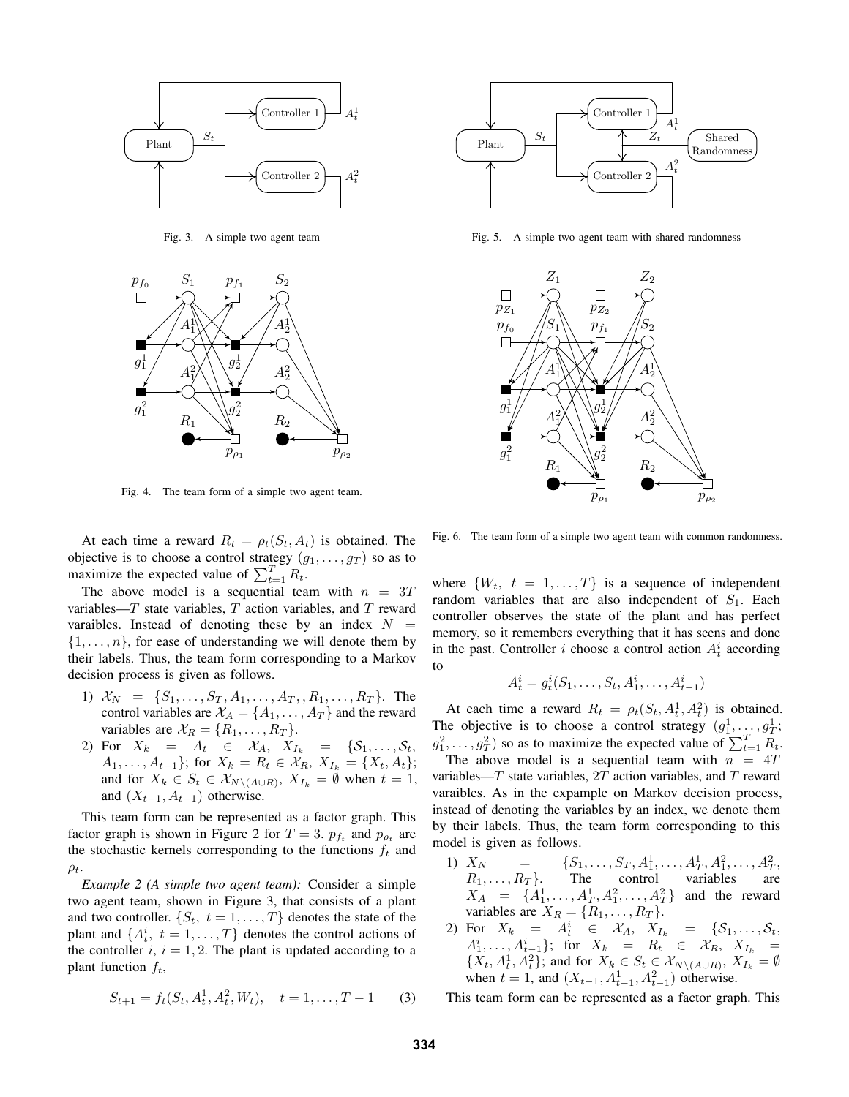

Fig. 3. A simple two agent team



Fig. 4. The team form of a simple two agent team.

At each time a reward  $R_t = \rho_t(S_t, A_t)$  is obtained. The objective is to choose a control strategy  $(g_1, \ldots, g_T)$  so as to maximize the expected value of  $\sum_{t=1}^{T} R_t$ .

The above model is a sequential team with  $n = 3T$ variables— $T$  state variables,  $T$  action variables, and  $T$  reward varaibles. Instead of denoting these by an index  $N =$  $\{1, \ldots, n\}$ , for ease of understanding we will denote them by their labels. Thus, the team form corresponding to a Markov decision process is given as follows.

- 1)  $X_N = \{S_1, \ldots, S_T, A_1, \ldots, A_T, R_1, \ldots, R_T\}$ . The control variables are  $X_A = \{A_1, \ldots, A_T\}$  and the reward variables are  $\mathcal{X}_R = \{R_1, \ldots, R_T\}.$
- 2) For  $X_k = A_t \in \mathcal{X}_A$ ,  $X_{I_k} = \{S_1, \ldots, S_t,$  $A_1, \ldots, A_{t-1}$ ; for  $X_k = R_t \in \mathcal{X}_R$ ,  $X_{I_k} = \{X_t, A_t\}$ ; and for  $X_k \in S_t \in \mathcal{X}_{N \setminus (A \cup R)}$ ,  $X_{I_k} = \emptyset$  when  $t = 1$ , and  $(X_{t-1}, A_{t-1})$  otherwise.

This team form can be represented as a factor graph. This factor graph is shown in Figure 2 for  $T = 3$ .  $p_{f_t}$  and  $p_{\rho_t}$  are the stochastic kernels corresponding to the functions  $f_t$  and  $\rho_t$ .

*Example 2 (A simple two agent team):* Consider a simple two agent team, shown in Figure 3, that consists of a plant and two controller.  $\{S_t, t = 1, \ldots, T\}$  denotes the state of the plant and  $\{A_t^i, t = 1, ..., T\}$  denotes the control actions of the controller  $i, i = 1, 2$ . The plant is updated according to a plant function  $f_t$ ,

$$
S_{t+1} = f_t(S_t, A_t^1, A_t^2, W_t), \quad t = 1, \dots, T-1 \tag{3}
$$



Fig. 5. A simple two agent team with shared randomness



Fig. 6. The team form of a simple two agent team with common randomness.

where  $\{W_t, t = 1, \ldots, T\}$  is a sequence of independent random variables that are also independent of  $S_1$ . Each controller observes the state of the plant and has perfect memory, so it remembers everything that it has seens and done in the past. Controller *i* choose a control action  $A_t^i$  according to

$$
A_t^i = g_t^i(S_1, \dots, S_t, A_1^i, \dots, A_{t-1}^i)
$$

At each time a reward  $R_t = \rho_t(S_t, A_t^1, A_t^2)$  is obtained. The objective is to choose a control strategy  $(g_1^1, \ldots, g_T^1;$  $g_1^2, \ldots, g_T^2$ ) so as to maximize the expected value of  $\sum_{t=1}^T R_t$ .

The above model is a sequential team with  $n = 4T$ variables— $T$  state variables,  $2T$  action variables, and  $T$  reward varaibles. As in the expample on Markov decision process, instead of denoting the variables by an index, we denote them by their labels. Thus, the team form corresponding to this model is given as follows.

- 1)  $X_N$  = { $S_1, \ldots, S_T, A_1^1, \ldots, A_T^1, A_1^2, \ldots, A_T^2$ ,  $R_1, \ldots, R_T$ . The control variables are  $X_A = \{A_1^1, \ldots, A_T^1, A_1^2, \ldots, A_T^2\}$  and the reward variables are  $X_R = \{R_1, \ldots, R_T\}.$
- 2) For  $X_k = A_t^i \in \mathcal{X}_A$ ,  $X_{I_k} = \{S_1, \ldots, S_t,$  $A_1^i, \ldots, A_{t-1}^i\};$  for  $X_k = R_t \in \mathcal{X}_R$ ,  $X_{I_k} =$  $\{X_t, A_t^1, A_t^2\}$ ; and for  $X_k \in S_t \in \mathcal{X}_{N \setminus (A \cup R)}$ ,  $X_{I_k} = \emptyset$ when  $t = 1$ , and  $(X_{t-1}, A_{t-1}^1, A_{t-1}^2)$  otherwise.

This team form can be represented as a factor graph. This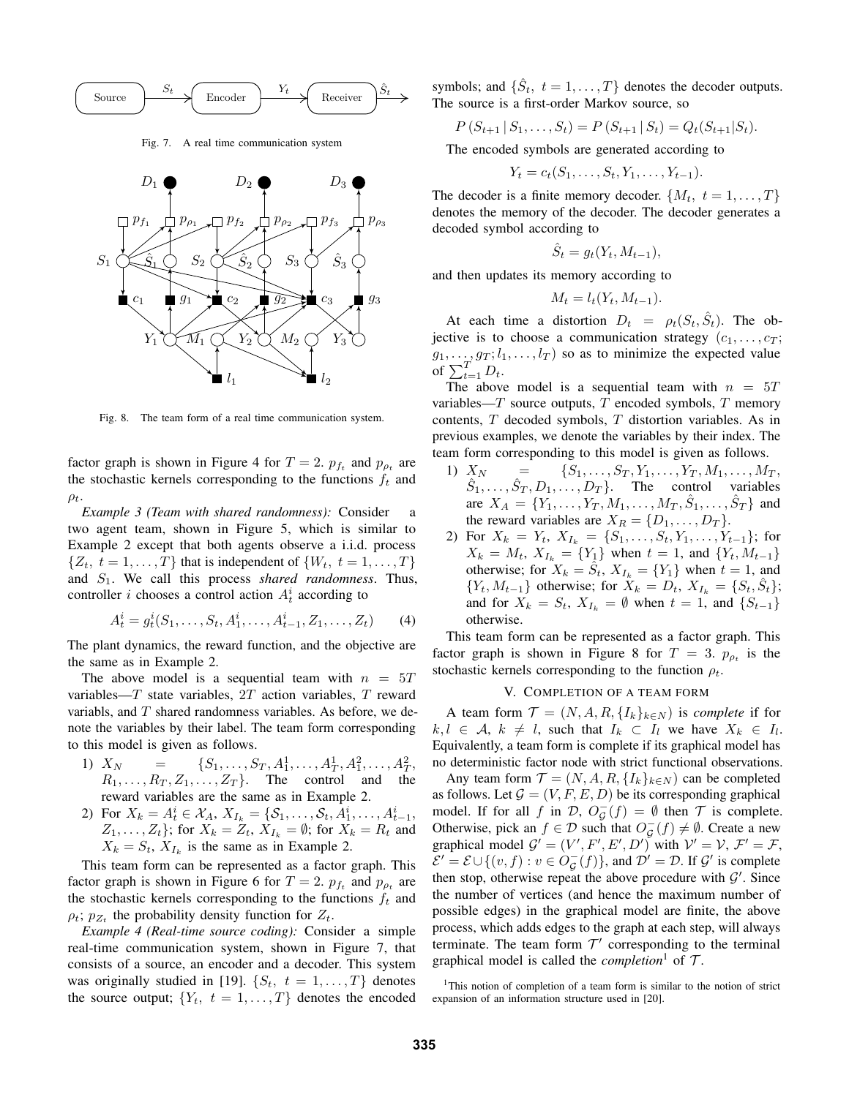

Fig. 7. A real time communication system



Fig. 8. The team form of a real time communication system.

factor graph is shown in Figure 4 for  $T = 2$ .  $p_{f_t}$  and  $p_{\rho_t}$  are the stochastic kernels corresponding to the functions  $f_t$  and  $\rho_t$ .

*Example 3 (Team with shared randomness):* Consider a two agent team, shown in Figure 5, which is similar to Example 2 except that both agents observe a i.i.d. process  $\{Z_t, t = 1, \ldots, T\}$  that is independent of  $\{W_t, t = 1, \ldots, T\}$ and S1. We call this process *shared randomness*. Thus, controller *i* chooses a control action  $A_t^i$  according to

$$
A_t^i = g_t^i(S_1, \dots, S_t, A_1^i, \dots, A_{t-1}^i, Z_1, \dots, Z_t)
$$
 (4)

The plant dynamics, the reward function, and the objective are the same as in Example 2.

The above model is a sequential team with  $n = 5T$ variables— $T$  state variables,  $2T$  action variables,  $T$  reward variabls, and  $T$  shared randomness variables. As before, we denote the variables by their label. The team form corresponding to this model is given as follows.

- 1)  $X_N$  = { $S_1, \ldots, S_T, A_1^1, \ldots, A_T^1, A_1^2, \ldots, A_T^2$ ,  $R_1, \ldots, R_T, Z_1, \ldots, Z_T$ . The control and the reward variables are the same as in Example 2.
- 2) For  $X_k = A_t^i \in \mathcal{X}_A$ ,  $X_{I_k} = \{S_1, \ldots, S_t, A_1^i, \ldots, A_{t-1}^i,$  $Z_1, \ldots, Z_t$ ; for  $X_k = Z_t$ ,  $X_{I_k} = \emptyset$ ; for  $X_k = R_t$  and  $X_k = S_t$ ,  $X_{I_k}$  is the same as in Example 2.

This team form can be represented as a factor graph. This factor graph is shown in Figure 6 for  $T = 2$ .  $p_{f_t}$  and  $p_{\rho_t}$  are the stochastic kernels corresponding to the functions  $f_t$  and  $\rho_t$ ;  $p_{Z_t}$  the probability density function for  $Z_t$ .

*Example 4 (Real-time source coding):* Consider a simple real-time communication system, shown in Figure 7, that consists of a source, an encoder and a decoder. This system was originally studied in [19].  $\{S_t, t = 1, ..., T\}$  denotes the source output;  $\{Y_t, t = 1, \ldots, T\}$  denotes the encoded

symbols; and  $\{\hat{S}_t, t = 1, \dots, T\}$  denotes the decoder outputs. The source is a first-order Markov source, so

$$
P(S_{t+1} | S_1, \ldots, S_t) = P(S_{t+1} | S_t) = Q_t(S_{t+1} | S_t).
$$

The encoded symbols are generated according to

$$
Y_t = c_t(S_1, \ldots, S_t, Y_1, \ldots, Y_{t-1}).
$$

The decoder is a finite memory decoder.  $\{M_t, t = 1, \ldots, T\}$ denotes the memory of the decoder. The decoder generates a decoded symbol according to

$$
\hat{S}_t = g_t(Y_t, M_{t-1}),
$$

and then updates its memory according to

$$
M_t = l_t(Y_t, M_{t-1}).
$$

At each time a distortion  $D_t = \rho_t(S_t, \hat{S}_t)$ . The objective is to choose a communication strategy  $(c_1, \ldots, c_T;$  $g_1, \ldots, g_T; l_1, \ldots, l_T$  so as to minimize the expected value of  $\sum_{t=1}^{T} D_t$ .

The above model is a sequential team with  $n = 5T$ variables— $T$  source outputs,  $T$  encoded symbols,  $T$  memory contents, T decoded symbols, T distortion variables. As in previous examples, we denote the variables by their index. The team form corresponding to this model is given as follows.

- 1)  $X_N = \{S_1, \ldots, S_T, Y_1, \ldots, Y_T, M_1, \ldots, M_T, \}$  $\hat{S}_1, \ldots, \hat{S}_T, D_1, \ldots, D_T$ . The control variables are  $X_A = \{Y_1, \ldots, Y_T, M_1, \ldots, M_T, \hat{S}_1, \ldots, \hat{S}_T\}$  and the reward variables are  $X_R = \{D_1, \ldots, D_T\}.$
- 2) For  $X_k = Y_t$ ,  $X_{I_k} = \{S_1, \ldots, S_t, Y_1, \ldots, Y_{t-1}\};$  for  $X_k = M_t$ ,  $X_{I_k} = \{Y_1\}$  when  $t = 1$ , and  $\{Y_t, M_{t-1}\}$ otherwise; for  $X_k = \hat{S}_t$ ,  $X_{I_k} = \{Y_1\}$  when  $t = 1$ , and  ${Y_t, M_{t-1}}$  otherwise; for  $X_k = D_t, X_{I_k} = {S_t, \hat{S}_t};$ and for  $X_k = S_t$ ,  $X_{I_k} = \emptyset$  when  $t = 1$ , and  $\{S_{t-1}\}\$ otherwise.

This team form can be represented as a factor graph. This factor graph is shown in Figure 8 for  $T = 3$ .  $p_{\rho t}$  is the stochastic kernels corresponding to the function  $\rho_t$ .

# V. COMPLETION OF A TEAM FORM

A team form  $\mathcal{T} = (N, A, R, \{I_k\}_{k \in N})$  is *complete* if for  $k, l \in \mathcal{A}, k \neq l$ , such that  $I_k \subset I_l$  we have  $X_k \in I_l$ . Equivalently, a team form is complete if its graphical model has no deterministic factor node with strict functional observations.

Any team form  $\mathcal{T} = (N, A, R, \{I_k\}_{k \in N})$  can be completed as follows. Let  $G = (V, F, E, D)$  be its corresponding graphical model. If for all f in D,  $O_G^-(f) = \emptyset$  then T is complete. Otherwise, pick an  $f \in \mathcal{D}$  such that  $O_{\mathcal{G}}^-(f) \neq \emptyset$ . Create a new graphical model  $G' = (V', F', E', D')$  with  $V' = V, \mathcal{F}' = \mathcal{F}$ ,  $\mathcal{E}' = \mathcal{E} \cup \{(v, f) : v \in O_{\mathcal{G}}^-(f)\}\$ , and  $\mathcal{D}' = \mathcal{D}$ . If  $\mathcal{G}'$  is complete then stop, otherwise repeat the above procedure with  $\mathcal{G}'$ . Since the number of vertices (and hence the maximum number of possible edges) in the graphical model are finite, the above process, which adds edges to the graph at each step, will always terminate. The team form  $T'$  corresponding to the terminal graphical model is called the *completion*<sup>1</sup> of  $\mathcal{T}$ .

<sup>&</sup>lt;sup>1</sup>This notion of completion of a team form is similar to the notion of strict expansion of an information structure used in [20].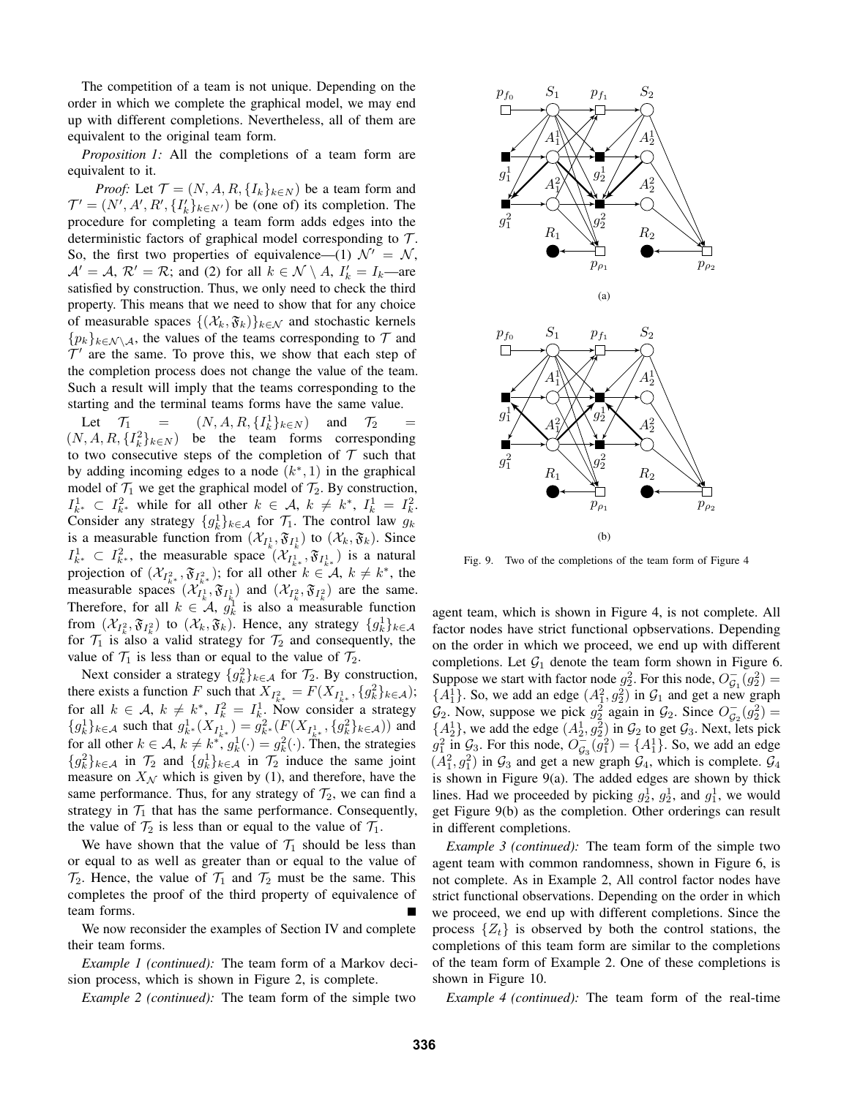The competition of a team is not unique. Depending on the order in which we complete the graphical model, we may end up with different completions. Nevertheless, all of them are equivalent to the original team form.

*Proposition 1:* All the completions of a team form are equivalent to it.

*Proof:* Let  $\mathcal{T} = (N, A, R, \{I_k\}_{k \in N})$  be a team form and  $\mathcal{T}' = (N', A', R', \{I'_k\}_{k \in N'})$  be (one of) its completion. The procedure for completing a team form adds edges into the deterministic factors of graphical model corresponding to  $\mathcal{T}$ . So, the first two properties of equivalence—(1)  $\mathcal{N}' = \mathcal{N}$ ,  $\mathcal{A}' = \mathcal{A}, \mathcal{R}' = \mathcal{R}$ ; and (2) for all  $k \in \mathcal{N} \setminus A, I'_k = I_k$ —are satisfied by construction. Thus, we only need to check the third property. This means that we need to show that for any choice of measurable spaces  $\{(\mathcal{X}_k, \mathfrak{F}_k)\}_{k \in \mathcal{N}}$  and stochastic kernels  $\{p_k\}_{k\in\mathcal{N}\setminus\mathcal{A}}$ , the values of the teams corresponding to  $\mathcal T$  and  $\mathcal{T}'$  are the same. To prove this, we show that each step of the completion process does not change the value of the team. Such a result will imply that the teams corresponding to the starting and the terminal teams forms have the same value.

Let  $\mathcal{T}_1$  =  $(N, A, R, \{I_k^1\}_{k \in N})$  and  $\mathcal{T}_2$  =  $(N, A, R, \{I_k^2\}_{k \in N})$  be the team forms corresponding to two consecutive steps of the completion of  $T$  such that by adding incoming edges to a node  $(k^*, 1)$  in the graphical model of  $\mathcal{T}_1$  we get the graphical model of  $\mathcal{T}_2$ . By construction,  $I_{k^*}^1 \subset I_{k^*}^2$  while for all other  $k \in \mathcal{A}, k \neq k^*, I_k^1 = I_k^2$ . Consider any strategy  $\{g_k^1\}_{k \in \mathcal{A}}$  for  $\mathcal{T}_1$ . The control law  $g_k$ is a measurable function from  $(\mathcal{X}_{I_k^1}, \mathfrak{F}_{I_k^1})$  to  $(\mathcal{X}_k, \mathfrak{F}_k)$ . Since  $I_{k^*}^1 \subset I_{k^*}^2$ , the measurable space  $(\mathcal{X}_{I_{k^*}^1}, \mathfrak{F}_{I_{k^*}^1})$  is a natural projection of  $(\mathcal{X}_{I_{k^*}}^2, \mathfrak{F}_{I_{k^*}}^2)$ ; for all other  $k \in \mathcal{A}, k \neq k^*$ , the measurable spaces  $(\mathcal{X}_{I_k^1}, \mathfrak{F}_{I_k^1})$  and  $(\mathcal{X}_{I_k^2}, \mathfrak{F}_{I_k^2})$  are the same. Therefore, for all  $k \in \mathcal{A}$ ,  $g_k^1$  is also a measurable function from  $(\mathcal{X}_{I_k^2}, \mathfrak{F}_{I_k^2})$  to  $(\mathcal{X}_k, \mathfrak{F}_k)$ . Hence, any strategy  $\{g_k^1\}_{k\in\mathcal{A}}$ for  $\mathcal{T}_1$  is also a valid strategy for  $\mathcal{T}_2$  and consequently, the value of  $\mathcal{T}_1$  is less than or equal to the value of  $\mathcal{T}_2$ .

Next consider a strategy  $\{g_k^2\}_{k\in\mathcal{A}}$  for  $\mathcal{T}_2$ . By construction, there exists a function F such that  $X_{I_{k^*}^2} = F(X_{I_{k^*}^1}, \{g_k^2\}_{k \in A})$ ; for all  $k \in \mathcal{A}$ ,  $k \neq k^*$ ,  $I_k^2 = I_{k_1}^1$ . Now consider a strategy  ${g_k^1}_{k \in A}$  such that  $g_{k^*}^1(X_{I_{k^*}^1}) = g_{k^*}^2(F(X_{I_{k^*}^1}, \{g_k^2\}_{k \in A}))$  and for all other  $k \in A$ ,  $k \neq k^*$ ,  $g_k^1(\cdot) = g_k^2(\cdot)$ . Then, the strategies  ${g_k^2}_{k \in \mathcal{A}}$  in  $\mathcal{T}_2$  and  ${g_k^1}_{k \in \mathcal{A}}$  in  $\mathcal{T}_2$  induce the same joint measure on  $X_N$  which is given by (1), and therefore, have the same performance. Thus, for any strategy of  $\mathcal{T}_2$ , we can find a strategy in  $\mathcal{T}_1$  that has the same performance. Consequently, the value of  $\mathcal{T}_2$  is less than or equal to the value of  $\mathcal{T}_1$ .

We have shown that the value of  $\mathcal{T}_1$  should be less than or equal to as well as greater than or equal to the value of  $\mathcal{T}_2$ . Hence, the value of  $\mathcal{T}_1$  and  $\mathcal{T}_2$  must be the same. This completes the proof of the third property of equivalence of team forms.

We now reconsider the examples of Section IV and complete their team forms.

*Example 1 (continued):* The team form of a Markov decision process, which is shown in Figure 2, is complete.

*Example 2 (continued):* The team form of the simple two



Fig. 9. Two of the completions of the team form of Figure 4

agent team, which is shown in Figure 4, is not complete. All factor nodes have strict functional opbservations. Depending on the order in which we proceed, we end up with different completions. Let  $G_1$  denote the team form shown in Figure 6. Suppose we start with factor node  $g_2^2$ . For this node,  $O_{\mathcal{G}_1}^-(g_2^2)$  =  ${A_1^1}$ . So, we add an edge  $(A_1^2, g_2^2)$  in  $G_1$  and get a new graph  $\mathcal{G}_2$ . Now, suppose we pick  $g_2^2$  again in  $\mathcal{G}_2$ . Since  $O_{\mathcal{G}_2}^-(g_2^2)$  =  ${A_2^1}$ , we add the edge  $(A_2^1, g_2^2)$  in  $G_2$  to get  $G_3$ . Next, lets pick  $g_1^2$  in  $\mathcal{G}_3$ . For this node,  $\overline{O}_{\mathcal{G}_3}(\overline{g}_1^2) = \{A_1^1\}$ . So, we add an edge  $(A_1^2, g_1^2)$  in  $\mathcal{G}_3$  and get a new graph  $\mathcal{G}_4$ , which is complete.  $\mathcal{G}_4$ is shown in Figure 9(a). The added edges are shown by thick lines. Had we proceeded by picking  $g_2^1$ ,  $g_2^1$ , and  $g_1^1$ , we would get Figure 9(b) as the completion. Other orderings can result in different completions.

*Example 3 (continued):* The team form of the simple two agent team with common randomness, shown in Figure 6, is not complete. As in Example 2, All control factor nodes have strict functional observations. Depending on the order in which we proceed, we end up with different completions. Since the process  $\{Z_t\}$  is observed by both the control stations, the completions of this team form are similar to the completions of the team form of Example 2. One of these completions is shown in Figure 10.

*Example 4 (continued):* The team form of the real-time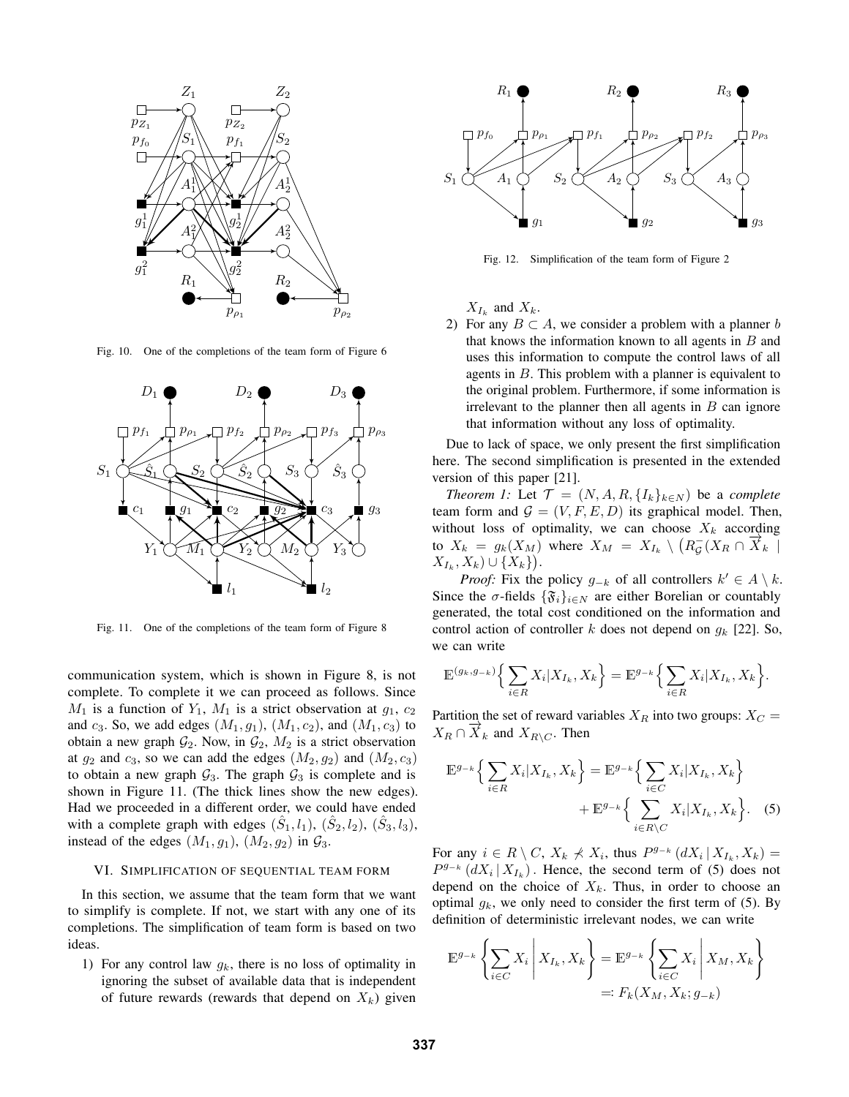

Fig. 10. One of the completions of the team form of Figure 6



Fig. 11. One of the completions of the team form of Figure 8

communication system, which is shown in Figure 8, is not complete. To complete it we can proceed as follows. Since  $M_1$  is a function of  $Y_1$ ,  $M_1$  is a strict observation at  $g_1, c_2$ and  $c_3$ . So, we add edges  $(M_1, g_1)$ ,  $(M_1, c_2)$ , and  $(M_1, c_3)$  to obtain a new graph  $\mathcal{G}_2$ . Now, in  $\mathcal{G}_2$ ,  $M_2$  is a strict observation at  $g_2$  and  $c_3$ , so we can add the edges  $(M_2, g_2)$  and  $(M_2, c_3)$ to obtain a new graph  $\mathcal{G}_3$ . The graph  $\mathcal{G}_3$  is complete and is shown in Figure 11. (The thick lines show the new edges). Had we proceeded in a different order, we could have ended with a complete graph with edges  $(\hat{S}_1, l_1)$ ,  $(\hat{S}_2, l_2)$ ,  $(\hat{S}_3, l_3)$ , instead of the edges  $(M_1, g_1)$ ,  $(M_2, g_2)$  in  $\mathcal{G}_3$ .

#### VI. SIMPLIFICATION OF SEQUENTIAL TEAM FORM

In this section, we assume that the team form that we want to simplify is complete. If not, we start with any one of its completions. The simplification of team form is based on two ideas.

1) For any control law  $g_k$ , there is no loss of optimality in ignoring the subset of available data that is independent of future rewards (rewards that depend on  $X_k$ ) given



Fig. 12. Simplification of the team form of Figure 2

 $X_{I_k}$  and  $X_k$ .

2) For any  $B \subset A$ , we consider a problem with a planner b that knows the information known to all agents in  $B$  and uses this information to compute the control laws of all agents in  $B$ . This problem with a planner is equivalent to the original problem. Furthermore, if some information is irrelevant to the planner then all agents in  $B$  can ignore that information without any loss of optimality.

Due to lack of space, we only present the first simplification here. The second simplification is presented in the extended version of this paper [21].

*Theorem 1:* Let  $\mathcal{T} = (N, A, R, \{I_k\}_{k \in N})$  be a *complete* team form and  $G = (V, F, E, D)$  its graphical model. Then, without loss of optimality, we can choose  $X_k$  according to  $X_k = g_k(X_M)$  where  $X_M = X_{I_k} \setminus (R_{\mathcal{G}}(X_R \cap \overline{X}_k))$  $X_{I_k}, X_k) \cup \{X_k\}.$ 

*Proof:* Fix the policy  $g_{-k}$  of all controllers  $k' \in A \setminus k$ . Since the  $\sigma$ -fields  $\{\mathfrak{F}_i\}_{i\in\mathbb{N}}$  are either Borelian or countably generated, the total cost conditioned on the information and control action of controller k does not depend on  $g_k$  [22]. So, we can write

$$
\mathbb{E}^{(g_k,g_{-k})}\Big\{\sum_{i\in R}X_i\big|X_{I_k},X_k\Big\}=\mathbb{E}^{g_{-k}}\Big\{\sum_{i\in R}X_i\big|X_{I_k},X_k\Big\}.
$$

Partition the set of reward variables  $X_R$  into two groups:  $X_C$  =  $X_R \cap \overrightarrow{X}_k$  and  $X_{R\setminus C}$ . Then

$$
\mathbb{E}^{g_{-k}}\Big\{\sum_{i\in R}X_i|X_{I_k},X_k\Big\} = \mathbb{E}^{g_{-k}}\Big\{\sum_{i\in C}X_i|X_{I_k},X_k\Big\} + \mathbb{E}^{g_{-k}}\Big\{\sum_{i\in R\setminus C}X_i|X_{I_k},X_k\Big\}.\tag{5}
$$

For any  $i \in R \setminus C$ ,  $X_k \nless X_i$ , thus  $P^{g_{-k}}(dX_i | X_{I_k}, X_k) =$  $P^{g_{-k}}(dX_i | X_{I_k})$ . Hence, the second term of (5) does not depend on the choice of  $X_k$ . Thus, in order to choose an optimal  $g_k$ , we only need to consider the first term of (5). By definition of deterministic irrelevant nodes, we can write

$$
\mathbb{E}^{g_{-k}}\left\{\sum_{i\in C} X_i \middle| X_{I_k}, X_k\right\} = \mathbb{E}^{g_{-k}}\left\{\sum_{i\in C} X_i \middle| X_M, X_k\right\}
$$

$$
=: F_k(X_M, X_k; g_{-k})
$$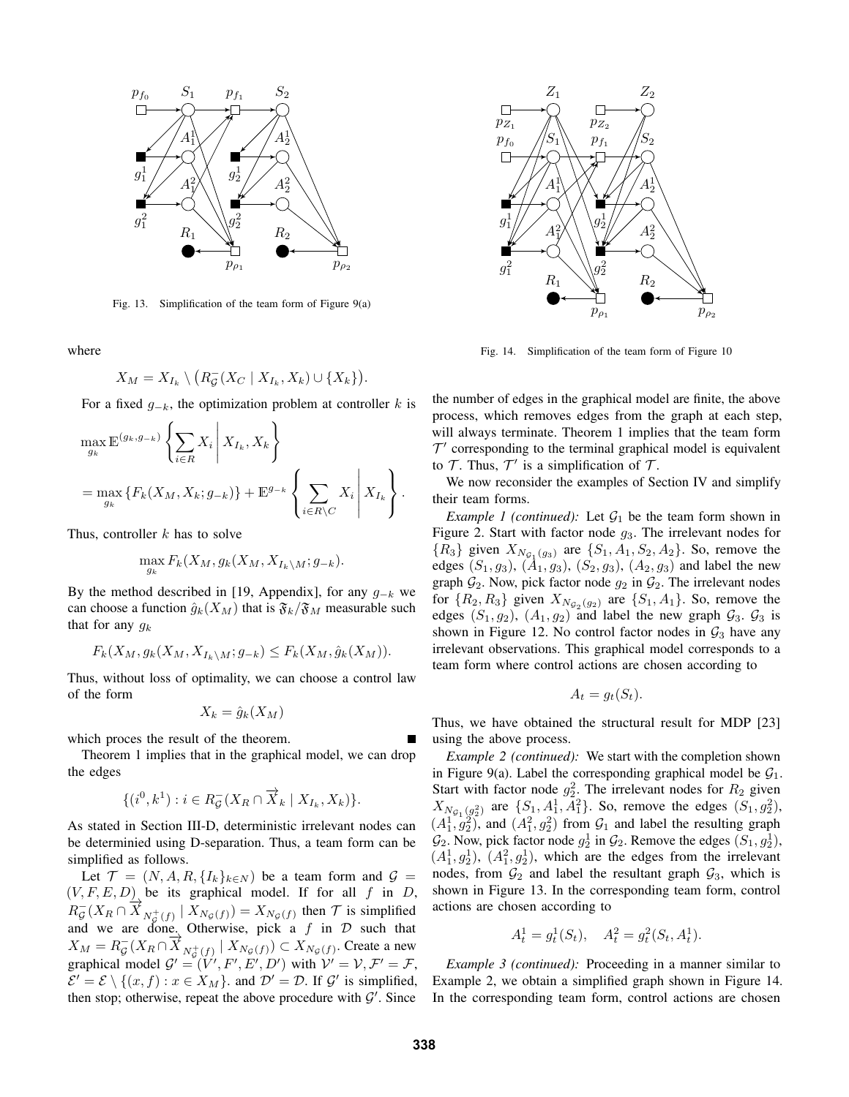

Fig. 13. Simplification of the team form of Figure 9(a)

where

$$
X_M = X_{I_k} \setminus \big(R_G^-(X_C \mid X_{I_k}, X_k) \cup \{X_k\}\big).
$$

For a fixed  $g_{-k}$ , the optimization problem at controller k is

$$
\max_{g_k} \mathbb{E}^{(g_k, g_{-k})} \left\{ \sum_{i \in R} X_i \middle| X_{I_k}, X_k \right\}
$$
  
= 
$$
\max_{g_k} \left\{ F_k(X_M, X_k; g_{-k}) \right\} + \mathbb{E}^{g_{-k}} \left\{ \sum_{i \in R \setminus C} X_i \middle| X_{I_k} \right\}.
$$

Thus, controller  $k$  has to solve

$$
\max_{g_k} F_k(X_M, g_k(X_M, X_{I_k \setminus M}; g_{-k}).
$$

By the method described in [19, Appendix], for any  $g_{-k}$  we can choose a function  $\hat{g}_k(X_M)$  that is  $\mathfrak{F}_k/\mathfrak{F}_M$  measurable such that for any  $g_k$ 

$$
F_k(X_M, g_k(X_M, X_{I_k \setminus M}; g_{-k}) \le F_k(X_M, \hat{g}_k(X_M)).
$$

Thus, without loss of optimality, we can choose a control law of the form

$$
X_k = \hat{g}_k(X_M)
$$

which proces the result of the theorem.

Theorem 1 implies that in the graphical model, we can drop the edges

$$
\{(i^0, k^1): i \in R_\mathcal{G}^-(X_R \cap \overrightarrow{X}_k \mid X_{I_k}, X_k)\}.
$$

As stated in Section III-D, deterministic irrelevant nodes can be determinied using D-separation. Thus, a team form can be simplified as follows.

Let  $\mathcal{T} = (N, A, R, \{I_k\}_{k \in N})$  be a team form and  $\mathcal{G} =$  $(V, F, E, D)$  be its graphical model. If for all f in D,  $R_{\mathcal{G}}^{-}(X_R \cap \overline{X}_{N_{\mathcal{G}}^{+}(f)}) \mid X_{N_{\mathcal{G}}(f)}) = X_{N_{\mathcal{G}}(f)}$  then  $\mathcal{T}$  is simplified and we are done. Otherwise, pick a f in  $D$  such that  $X_M = R_{\mathcal{G}}^-(X_R \cap \overline{X}_{N_{\mathcal{G}}^+(f)} | X_{N_{\mathcal{G}}}(f)) \subset X_{N_{\mathcal{G}}(f)}$ . Create a new graphical model  $G' = (V', F', E', D')$  with  $V' = V, F' = F$ ,  $\mathcal{E}' = \mathcal{E} \setminus \{(x, f) : x \in X_M\}$  and  $\mathcal{D}' = \mathcal{D}$ . If  $\mathcal{G}'$  is simplified, then stop; otherwise, repeat the above procedure with  $\mathcal{G}'$ . Since



Fig. 14. Simplification of the team form of Figure 10

the number of edges in the graphical model are finite, the above process, which removes edges from the graph at each step, will always terminate. Theorem 1 implies that the team form  $T'$  corresponding to the terminal graphical model is equivalent to T. Thus,  $T'$  is a simplification of T.

We now reconsider the examples of Section IV and simplify their team forms.

*Example 1 (continued):* Let  $G_1$  be the team form shown in Figure 2. Start with factor node  $g_3$ . The irrelevant nodes for  ${R_3}$  given  $X_{N_{\mathcal{G}_1}(g_3)}$  are  ${S_1, A_1, S_2, A_2}$ . So, remove the edges  $(S_1, g_3)$ ,  $(\dot{A}_1, g_3)$ ,  $(S_2, g_3)$ ,  $(A_2, g_3)$  and label the new graph  $\mathcal{G}_2$ . Now, pick factor node  $g_2$  in  $\mathcal{G}_2$ . The irrelevant nodes for  $\{R_2, R_3\}$  given  $X_{N_{\mathcal{G}_2}(g_2)}$  are  $\{S_1, A_1\}$ . So, remove the edges  $(S_1, g_2)$ ,  $(A_1, g_2)$  and label the new graph  $\mathcal{G}_3$ .  $\mathcal{G}_3$  is shown in Figure 12. No control factor nodes in  $\mathcal{G}_3$  have any irrelevant observations. This graphical model corresponds to a team form where control actions are chosen according to

$$
A_t = g_t(S_t).
$$

Thus, we have obtained the structural result for MDP [23] using the above process.

*Example 2 (continued):* We start with the completion shown in Figure 9(a). Label the corresponding graphical model be  $G_1$ . Start with factor node  $g_2^2$ . The irrelevant nodes for  $R_2$  given  $X_{N_{\mathcal{G}_1}(g_2^2)}$  are  $\{S_1, A_1^1, A_1^2\}$ . So, remove the edges  $(S_1, g_2^2)$ ,  $(A_1^1, g_2^2)$ , and  $(A_1^2, g_2^2)$  from  $\mathcal{G}_1$  and label the resulting graph  $\mathcal{G}_2$ . Now, pick factor node  $g_2^1$  in  $\mathcal{G}_2$ . Remove the edges  $(S_1, g_2^1)$ ,  $(A_1^1, g_2^1), (A_1^2, g_2^1),$  which are the edges from the irrelevant nodes, from  $\mathcal{G}_2$  and label the resultant graph  $\mathcal{G}_3$ , which is shown in Figure 13. In the corresponding team form, control actions are chosen according to

$$
A_t^1 = g_t^1(S_t), \quad A_t^2 = g_t^2(S_t, A_t^1).
$$

*Example 3 (continued):* Proceeding in a manner similar to Example 2, we obtain a simplified graph shown in Figure 14. In the corresponding team form, control actions are chosen